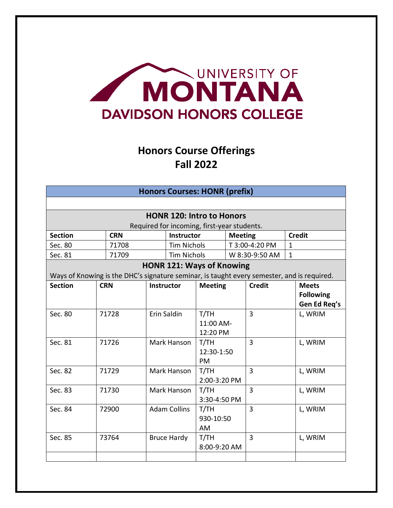

## **Honors Course Offerings Fall 2022**

| <b>Honors Courses: HONR (prefix)</b>                                                       |                  |                     |                    |                      |                                             |                      |                |              |                  |  |
|--------------------------------------------------------------------------------------------|------------------|---------------------|--------------------|----------------------|---------------------------------------------|----------------------|----------------|--------------|------------------|--|
|                                                                                            |                  |                     |                    |                      |                                             |                      |                |              |                  |  |
| <b>HONR 120: Intro to Honors</b>                                                           |                  |                     |                    |                      |                                             |                      |                |              |                  |  |
|                                                                                            |                  |                     |                    |                      | Required for incoming, first-year students. |                      |                |              |                  |  |
| <b>Section</b>                                                                             |                  | <b>CRN</b>          |                    | Instructor           |                                             | <b>Meeting</b>       |                |              | <b>Credit</b>    |  |
| Sec. 80                                                                                    |                  | 71708               |                    | <b>Tim Nichols</b>   |                                             |                      | T 3:00-4:20 PM | $\mathbf{1}$ |                  |  |
| Sec. 81                                                                                    |                  | 71709               |                    | <b>Tim Nichols</b>   |                                             | W 8:30-9:50 AM       |                | $\mathbf{1}$ |                  |  |
|                                                                                            |                  |                     |                    |                      | <b>HONR 121: Ways of Knowing</b>            |                      |                |              |                  |  |
| Ways of Knowing is the DHC's signature seminar, is taught every semester, and is required. |                  |                     |                    |                      |                                             |                      |                |              |                  |  |
| <b>Section</b>                                                                             |                  | <b>CRN</b>          |                    | <b>Instructor</b>    | <b>Meeting</b>                              |                      | <b>Credit</b>  |              | <b>Meets</b>     |  |
|                                                                                            |                  |                     |                    |                      |                                             |                      |                |              | <b>Following</b> |  |
|                                                                                            |                  |                     |                    |                      |                                             |                      |                |              | Gen Ed Req's     |  |
| Sec. 80<br>71728                                                                           |                  | Erin Saldin         |                    | T/TH                 |                                             | $\overline{3}$       |                | L, WRIM      |                  |  |
|                                                                                            |                  |                     |                    | 11:00 AM-            |                                             |                      |                |              |                  |  |
|                                                                                            |                  |                     |                    |                      | 12:20 PM                                    |                      |                |              |                  |  |
| Sec. 81<br>71726                                                                           |                  | Mark Hanson         |                    | T/TH                 |                                             | $\overline{3}$       |                | L, WRIM      |                  |  |
|                                                                                            |                  |                     |                    | 12:30-1:50           |                                             |                      |                |              |                  |  |
|                                                                                            |                  |                     | PM                 |                      |                                             |                      |                |              |                  |  |
| Sec. 82<br>71729                                                                           |                  | Mark Hanson         |                    | T/TH<br>2:00-3:20 PM |                                             | $\overline{3}$       |                | L, WRIM      |                  |  |
|                                                                                            |                  |                     |                    |                      |                                             | 3                    |                |              |                  |  |
|                                                                                            | Sec. 83<br>71730 |                     | Mark Hanson        |                      |                                             | T/TH<br>3:30-4:50 PM |                |              | L, WRIM          |  |
| Sec. 84<br>72900                                                                           |                  | <b>Adam Collins</b> |                    | T/TH                 |                                             | $\overline{3}$       |                | L, WRIM      |                  |  |
|                                                                                            |                  |                     |                    | 930-10:50            |                                             |                      |                |              |                  |  |
|                                                                                            |                  |                     |                    |                      | <b>AM</b>                                   |                      |                |              |                  |  |
| Sec. 85                                                                                    |                  | 73764               | <b>Bruce Hardy</b> |                      | T/TH                                        |                      | 3              |              | L, WRIM          |  |
|                                                                                            |                  |                     |                    | 8:00-9:20 AM         |                                             |                      |                |              |                  |  |
|                                                                                            |                  |                     |                    |                      |                                             |                      |                |              |                  |  |
|                                                                                            |                  |                     |                    |                      |                                             |                      |                |              |                  |  |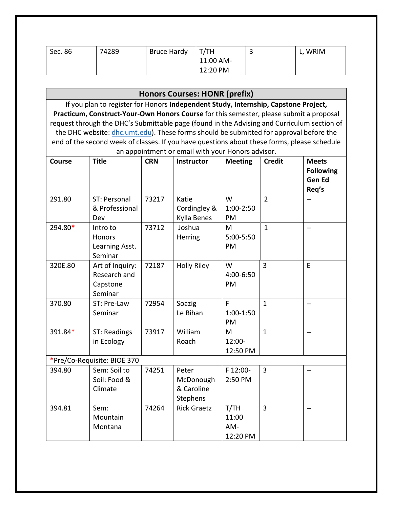| Sec. 86 | 74289 | <b>Bruce Hardy</b> | T/TH      | L, WRIM |
|---------|-------|--------------------|-----------|---------|
|         |       |                    | 11:00 AM- |         |
|         |       |                    | 12:20 PM  |         |

| If you plan to register for Honors Independent Study, Internship, Capstone Project,                                 |                  |  |  |  |  |  |
|---------------------------------------------------------------------------------------------------------------------|------------------|--|--|--|--|--|
| Practicum, Construct-Your-Own Honors Course for this semester, please submit a proposal                             |                  |  |  |  |  |  |
| request through the DHC's Submittable page (found in the Advising and Curriculum section of                         |                  |  |  |  |  |  |
| the DHC website: dhc.umt.edu). These forms should be submitted for approval before the                              |                  |  |  |  |  |  |
| end of the second week of classes. If you have questions about these forms, please schedule                         |                  |  |  |  |  |  |
| an appointment or email with your Honors advisor.                                                                   |                  |  |  |  |  |  |
| <b>Title</b><br><b>Course</b><br><b>CRN</b><br><b>Credit</b><br><b>Meets</b><br><b>Instructor</b><br><b>Meeting</b> |                  |  |  |  |  |  |
|                                                                                                                     | <b>Following</b> |  |  |  |  |  |
| <b>Gen Ed</b>                                                                                                       |                  |  |  |  |  |  |
| Req's                                                                                                               |                  |  |  |  |  |  |
| 291.80<br>73217<br>W<br>$\overline{2}$<br>ST: Personal<br>Katie<br>$\overline{\phantom{a}}$                         |                  |  |  |  |  |  |
| & Professional<br>Cordingley &<br>1:00-2:50                                                                         |                  |  |  |  |  |  |
| Kylla Benes<br>PM<br>Dev                                                                                            |                  |  |  |  |  |  |
| 294.80*<br>73712<br>M<br>$\mathbf{1}$<br>Joshua<br>Intro to<br>$- -$                                                |                  |  |  |  |  |  |
| 5:00-5:50<br>Honors<br>Herring                                                                                      |                  |  |  |  |  |  |
| PM<br>Learning Asst.                                                                                                |                  |  |  |  |  |  |
| Seminar                                                                                                             |                  |  |  |  |  |  |
| <b>Holly Riley</b><br>3<br>320E.80<br>72187<br>E<br>Art of Inquiry:<br>W                                            |                  |  |  |  |  |  |
| Research and<br>4:00-6:50                                                                                           |                  |  |  |  |  |  |
| PM<br>Capstone                                                                                                      |                  |  |  |  |  |  |
| Seminar                                                                                                             |                  |  |  |  |  |  |
| F<br>370.80<br>Soazig<br>$\mathbf{1}$<br>ST: Pre-Law<br>72954<br>--                                                 |                  |  |  |  |  |  |
| Seminar<br>Le Bihan<br>$1:00-1:50$<br>PM                                                                            |                  |  |  |  |  |  |
| 73917<br>William<br>$\mathbf{1}$                                                                                    |                  |  |  |  |  |  |
| 391.84*<br>ST: Readings<br>M<br>$-$<br>Roach<br>12:00-                                                              |                  |  |  |  |  |  |
| in Ecology<br>12:50 PM                                                                                              |                  |  |  |  |  |  |
|                                                                                                                     |                  |  |  |  |  |  |
| *Pre/Co-Requisite: BIOE 370<br>3<br>Sem: Soil to<br>74251<br>F 12:00-<br>394.80<br>Peter                            |                  |  |  |  |  |  |
| $- -$<br>Soil: Food &<br>McDonough<br>2:50 PM                                                                       |                  |  |  |  |  |  |
| & Caroline<br>Climate                                                                                               |                  |  |  |  |  |  |
| <b>Stephens</b>                                                                                                     |                  |  |  |  |  |  |
| 74264<br><b>Rick Graetz</b><br>T/TH<br>3<br>394.81<br>Sem:<br>$-$                                                   |                  |  |  |  |  |  |
| Mountain<br>11:00                                                                                                   |                  |  |  |  |  |  |
| AM-<br>Montana                                                                                                      |                  |  |  |  |  |  |
| 12:20 PM                                                                                                            |                  |  |  |  |  |  |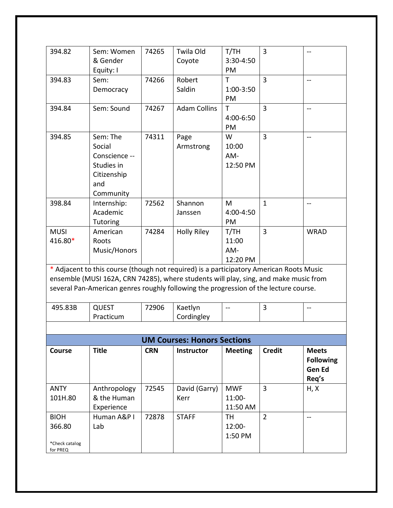| 394.82                                              | Sem: Women<br>& Gender<br>Equity: I                                                                                                                                                                                                                                     | 74265      | Twila Old<br>Coyote                | T/TH<br>3:30-4:50<br>PM          | $\overline{3}$ | --                                                  |
|-----------------------------------------------------|-------------------------------------------------------------------------------------------------------------------------------------------------------------------------------------------------------------------------------------------------------------------------|------------|------------------------------------|----------------------------------|----------------|-----------------------------------------------------|
| 394.83                                              | Sem:<br>Democracy                                                                                                                                                                                                                                                       | 74266      | Robert<br>Saldin                   | T<br>1:00-3:50<br>PM             | $\overline{3}$ | $-$                                                 |
| 394.84                                              | Sem: Sound                                                                                                                                                                                                                                                              | 74267      | <b>Adam Collins</b>                | T<br>4:00-6:50<br>PM             | $\overline{3}$ | $\hspace{0.05cm}$ – $\hspace{0.05cm}$               |
| 394.85                                              | Sem: The<br>Social<br>Conscience --<br>Studies in<br>Citizenship<br>and<br>Community                                                                                                                                                                                    | 74311      | Page<br>Armstrong                  | W<br>10:00<br>AM-<br>12:50 PM    | $\overline{3}$ | --                                                  |
| 398.84                                              | Internship:<br>Academic<br><b>Tutoring</b>                                                                                                                                                                                                                              | 72562      | Shannon<br>Janssen                 | M<br>4:00-4:50<br>PM             | $\mathbf{1}$   | $\overline{a}$                                      |
| <b>MUSI</b><br>416.80*                              | American<br>Roots<br>Music/Honors                                                                                                                                                                                                                                       | 74284      | <b>Holly Riley</b>                 | T/TH<br>11:00<br>AM-<br>12:20 PM | 3              | <b>WRAD</b>                                         |
|                                                     | * Adjacent to this course (though not required) is a participatory American Roots Music<br>ensemble (MUSI 162A, CRN 74285), where students will play, sing, and make music from<br>several Pan-American genres roughly following the progression of the lecture course. |            |                                    |                                  |                |                                                     |
| 495.83B                                             | <b>QUEST</b><br>Practicum                                                                                                                                                                                                                                               | 72906      | Kaetlyn<br>Cordingley              | --                               | 3              | $-$                                                 |
|                                                     |                                                                                                                                                                                                                                                                         |            |                                    |                                  |                |                                                     |
|                                                     |                                                                                                                                                                                                                                                                         |            | <b>UM Courses: Honors Sections</b> |                                  |                |                                                     |
| Course                                              | <b>Title</b>                                                                                                                                                                                                                                                            | <b>CRN</b> | <b>Instructor</b>                  | <b>Meeting</b>                   | <b>Credit</b>  | <b>Meets</b><br><b>Following</b><br>Gen Ed<br>Req's |
| <b>ANTY</b><br>101H.80                              | Anthropology<br>& the Human<br>Experience                                                                                                                                                                                                                               | 72545      | David (Garry)<br>Kerr              | <b>MWF</b><br>11:00-<br>11:50 AM | 3              | H, X                                                |
| <b>BIOH</b><br>366.80<br>*Check catalog<br>for PREQ | Human A&P I<br>Lab                                                                                                                                                                                                                                                      | 72878      | <b>STAFF</b>                       | <b>TH</b><br>12:00-<br>1:50 PM   | $\overline{2}$ | $-$                                                 |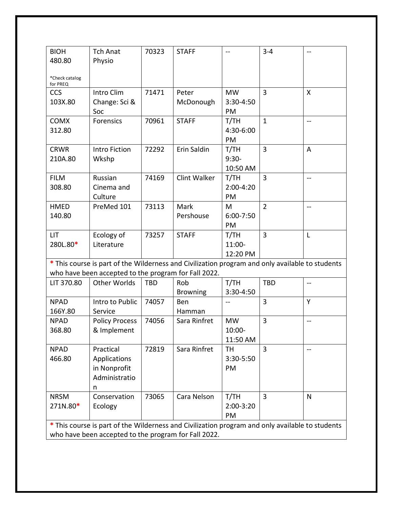| <b>BIOH</b>                                          | <b>Tch Anat</b>                                                                                 | 70323 | <b>STAFF</b>        |               | $3 - 4$        | $-$            |
|------------------------------------------------------|-------------------------------------------------------------------------------------------------|-------|---------------------|---------------|----------------|----------------|
| 480.80                                               | Physio                                                                                          |       |                     |               |                |                |
|                                                      |                                                                                                 |       |                     |               |                |                |
| *Check catalog<br>for PREQ                           |                                                                                                 |       |                     |               |                |                |
| <b>CCS</b>                                           | Intro Clim                                                                                      | 71471 | Peter               | <b>MW</b>     | $\overline{3}$ | X              |
| 103X.80                                              | Change: Sci &                                                                                   |       | McDonough           | 3:30-4:50     |                |                |
|                                                      | Soc                                                                                             |       |                     | PM            |                |                |
| <b>COMX</b>                                          | <b>Forensics</b>                                                                                | 70961 | <b>STAFF</b>        | T/TH          | $\mathbf{1}$   | $- -$          |
| 312.80                                               |                                                                                                 |       |                     | 4:30-6:00     |                |                |
|                                                      |                                                                                                 |       |                     | PM            |                |                |
| <b>CRWR</b>                                          | <b>Intro Fiction</b>                                                                            | 72292 | Erin Saldin         | T/TH          | 3              | A              |
| 210A.80                                              | Wkshp                                                                                           |       |                     | $9:30-$       |                |                |
|                                                      |                                                                                                 |       |                     | 10:50 AM      |                |                |
| <b>FILM</b>                                          | Russian                                                                                         | 74169 | <b>Clint Walker</b> | T/TH          | $\overline{3}$ | $\overline{a}$ |
| 308.80                                               | Cinema and                                                                                      |       |                     | $2:00-4:20$   |                |                |
|                                                      | Culture                                                                                         |       |                     | PM            |                |                |
| <b>HMED</b>                                          | PreMed 101                                                                                      | 73113 | Mark                | М             | $\overline{2}$ | --             |
| 140.80                                               |                                                                                                 |       | Pershouse           | $6:00 - 7:50$ |                |                |
|                                                      |                                                                                                 |       |                     | PM            |                |                |
| <b>LIT</b>                                           | Ecology of                                                                                      | 73257 | <b>STAFF</b>        | T/TH          | $\overline{3}$ | L              |
| 280L.80*                                             | Literature                                                                                      |       |                     | 11:00-        |                |                |
|                                                      |                                                                                                 |       |                     | 12:20 PM      |                |                |
|                                                      | * This course is part of the Wilderness and Civilization program and only available to students |       |                     |               |                |                |
|                                                      | who have been accepted to the program for Fall 2022.                                            |       |                     |               |                |                |
| LIT 370.80                                           | <b>Other Worlds</b>                                                                             | TBD   | Rob                 | T/TH          | <b>TBD</b>     |                |
|                                                      |                                                                                                 |       | <b>Browning</b>     | 3:30-4:50     |                |                |
| <b>NPAD</b>                                          | Intro to Public                                                                                 | 74057 | Ben                 |               | 3              | Y              |
| 166Y.80                                              | Service                                                                                         |       | Hamman              |               |                |                |
| <b>NPAD</b>                                          | <b>Policy Process</b>                                                                           | 74056 | Sara Rinfret        | <b>MW</b>     | $\overline{3}$ | $-$            |
| 368.80                                               | & Implement                                                                                     |       |                     | 10:00-        |                |                |
|                                                      |                                                                                                 |       |                     | 11:50 AM      |                |                |
| <b>NPAD</b>                                          | Practical                                                                                       | 72819 | Sara Rinfret        | TH            | 3              | $-$            |
| 466.80                                               | Applications                                                                                    |       |                     | 3:30-5:50     |                |                |
|                                                      | in Nonprofit                                                                                    |       |                     | PM            |                |                |
|                                                      | Administratio                                                                                   |       |                     |               |                |                |
|                                                      | n                                                                                               |       |                     |               |                |                |
| <b>NRSM</b>                                          | Conservation                                                                                    | 73065 | Cara Nelson         | T/TH          | $\overline{3}$ | N              |
| 271N.80*                                             | Ecology                                                                                         |       |                     | 2:00-3:20     |                |                |
|                                                      |                                                                                                 |       |                     | PM            |                |                |
|                                                      | * This course is part of the Wilderness and Civilization program and only available to students |       |                     |               |                |                |
| who have been accepted to the program for Fall 2022. |                                                                                                 |       |                     |               |                |                |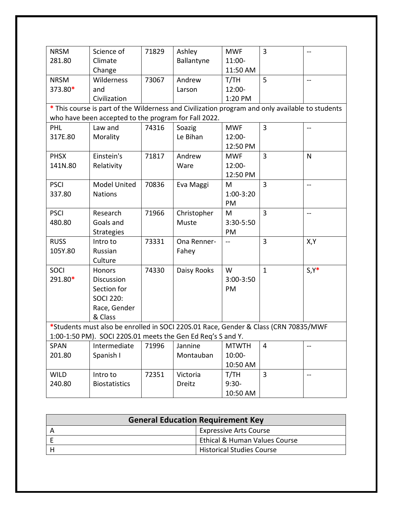| <b>NRSM</b> | Science of                                                                                      | 71829 | Ashley      | <b>MWF</b>               | 3              | $-$                      |  |
|-------------|-------------------------------------------------------------------------------------------------|-------|-------------|--------------------------|----------------|--------------------------|--|
| 281.80      | Climate                                                                                         |       | Ballantyne  | 11:00-                   |                |                          |  |
|             | Change                                                                                          |       |             | 11:50 AM                 |                |                          |  |
| <b>NRSM</b> | Wilderness                                                                                      | 73067 | Andrew      | T/TH                     | 5              | $\overline{\phantom{a}}$ |  |
| 373.80*     | and                                                                                             |       | Larson      | 12:00-                   |                |                          |  |
|             | Civilization                                                                                    |       |             | 1:20 PM                  |                |                          |  |
|             | * This course is part of the Wilderness and Civilization program and only available to students |       |             |                          |                |                          |  |
|             | who have been accepted to the program for Fall 2022.                                            |       |             |                          |                |                          |  |
| <b>PHL</b>  | Law and                                                                                         | 74316 | Soazig      | <b>MWF</b>               | 3              |                          |  |
| 317E.80     | Morality                                                                                        |       | Le Bihan    | 12:00-                   |                |                          |  |
|             |                                                                                                 |       |             | 12:50 PM                 |                |                          |  |
| <b>PHSX</b> | Einstein's                                                                                      | 71817 | Andrew      | <b>MWF</b>               | 3              | N                        |  |
| 141N.80     | Relativity                                                                                      |       | Ware        | 12:00-                   |                |                          |  |
|             |                                                                                                 |       |             | 12:50 PM                 |                |                          |  |
| <b>PSCI</b> | Model United                                                                                    | 70836 | Eva Maggi   | M                        | $\overline{3}$ | $\overline{a}$           |  |
| 337.80      | <b>Nations</b>                                                                                  |       |             | 1:00-3:20                |                |                          |  |
|             |                                                                                                 |       |             | PM                       |                |                          |  |
| <b>PSCI</b> | Research                                                                                        | 71966 | Christopher | М                        | 3              | $\overline{\phantom{a}}$ |  |
| 480.80      | Goals and                                                                                       |       | Muste       | 3:30-5:50                |                |                          |  |
|             | <b>Strategies</b>                                                                               |       |             | PM                       |                |                          |  |
| <b>RUSS</b> | Intro to                                                                                        | 73331 | Ona Renner- | $\overline{\phantom{a}}$ | $\overline{3}$ | X,Y                      |  |
| 105Y.80     | Russian                                                                                         |       | Fahey       |                          |                |                          |  |
|             | Culture                                                                                         |       |             |                          |                |                          |  |
| <b>SOCI</b> | Honors                                                                                          | 74330 | Daisy Rooks | W                        | $\mathbf{1}$   | $S, Y^*$                 |  |
| 291.80*     | Discussion                                                                                      |       |             | 3:00-3:50                |                |                          |  |
|             | Section for                                                                                     |       |             | PM                       |                |                          |  |
|             | <b>SOCI 220:</b>                                                                                |       |             |                          |                |                          |  |
|             | Race, Gender                                                                                    |       |             |                          |                |                          |  |
|             | & Class                                                                                         |       |             |                          |                |                          |  |
|             | *Students must also be enrolled in SOCI 220S.01 Race, Gender & Class (CRN 70835/MWF             |       |             |                          |                |                          |  |
|             | 1:00-1:50 PM). SOCI 220S.01 meets the Gen Ed Req's S and Y.                                     |       |             |                          |                |                          |  |
| <b>SPAN</b> | Intermediate                                                                                    | 71996 | Jannine     | <b>MTWTH</b>             | 4              | $- -$                    |  |
| 201.80      | Spanish I                                                                                       |       | Montauban   | 10:00-                   |                |                          |  |
|             |                                                                                                 |       |             | 10:50 AM                 |                |                          |  |
| <b>WILD</b> | Intro to                                                                                        | 72351 | Victoria    | T/TH                     | $\overline{3}$ | $\overline{\phantom{a}}$ |  |
| 240.80      | <b>Biostatistics</b>                                                                            |       | Dreitz      | $9:30-$                  |                |                          |  |
|             |                                                                                                 |       |             | 10:50 AM                 |                |                          |  |

| <b>General Education Requirement Key</b> |                                  |  |  |  |
|------------------------------------------|----------------------------------|--|--|--|
|                                          | <b>Expressive Arts Course</b>    |  |  |  |
|                                          | Ethical & Human Values Course    |  |  |  |
|                                          | <b>Historical Studies Course</b> |  |  |  |